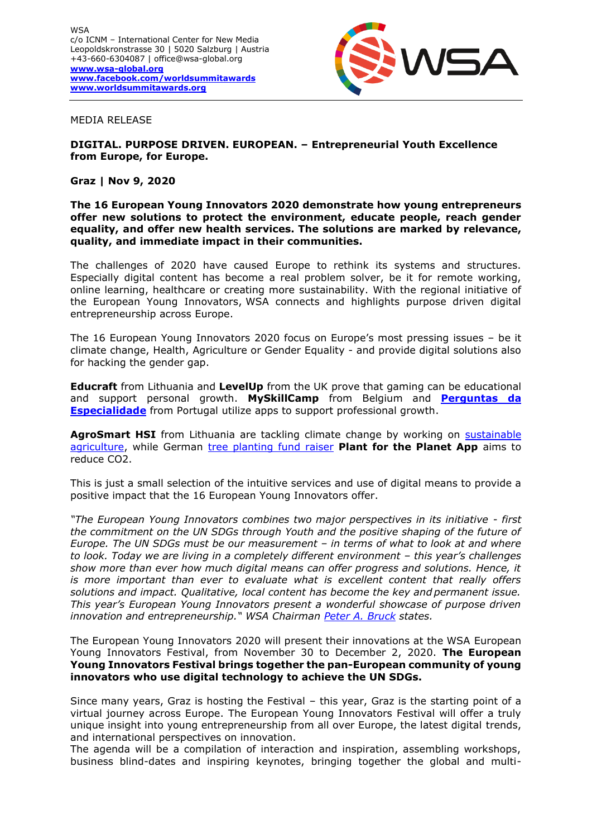

#### MEDIA RELEASE

# **DIGITAL. PURPOSE DRIVEN. EUROPEAN. – Entrepreneurial Youth Excellence from Europe, for Europe.**

## **Graz | Nov 9, 2020**

#### **The 16 European Young Innovators 2020 demonstrate how young entrepreneurs offer new solutions to protect the environment, educate people, reach gender equality, and offer new health services. The solutions are marked by relevance, quality, and immediate impact in their communities.**

The challenges of 2020 have caused Europe to rethink its systems and structures. Especially digital content has become a real problem solver, be it for remote working, online learning, healthcare or creating more sustainability. With the regional initiative of the European Young Innovators, WSA connects and highlights purpose driven digital entrepreneurship across Europe.

The 16 European Young Innovators 2020 focus on Europe's most pressing issues – be it climate change, Health, Agriculture or Gender Equality - and provide digital solutions also for hacking the gender gap.

**Educraft** from Lithuania and **LevelUp** from the UK prove that gaming can be educational and support personal growth. **MySkillCamp** from Belgium and **[Perguntas](https://wsa-global.org/winner/perguntas-da-especialidade/) da [Especialidade](https://wsa-global.org/winner/perguntas-da-especialidade/)** from Portugal utilize apps to support professional growth.

**AgroSmart HSI** from Lithuania are tackling climate change by working on [sustainable](https://wsa-global.org/winner/agrosmart-hsimobile-flying-laboratory-for-sustainable-agriculture/)  [agriculture,](https://wsa-global.org/winner/agrosmart-hsimobile-flying-laboratory-for-sustainable-agriculture/) while German [tree planting fund raiser](https://wsa-global.org/winner/plant-for-the-planet-app/) **Plant for the Planet App** aims to reduce CO2.

This is just a small selection of the intuitive services and use of digital means to provide a positive impact that the 16 European Young Innovators offer.

*"The European Young Innovators combines two major perspectives in its initiative - first the commitment on the UN SDGs through Youth and the positive shaping of the future of Europe. The UN SDGs must be our measurement – in terms of what to look at and where to look. Today we are living in a completely different environment – this year's challenges show more than ever how much digital means can offer progress and solutions. Hence, it is more important than ever to evaluate what is excellent content that really offers solutions and impact. Qualitative, local content has become the key and permanent issue. This year's European Young Innovators present a wonderful showcase of purpose driven innovation and entrepreneurship." WSA Chairman [Peter A. Bruck](https://wsa-global.org/person/peter-a-bruck/) states.*

The European Young Innovators 2020 will present their innovations at the WSA European Young Innovators Festival, from November 30 to December 2, 2020. **The European Young Innovators Festival brings together the pan-European community of young innovators who use digital technology to achieve the UN SDGs.**

Since many years, Graz is hosting the Festival – this year, Graz is the starting point of a virtual journey across Europe. The European Young Innovators Festival will offer a truly unique insight into young entrepreneurship from all over Europe, the latest digital trends, and international perspectives on innovation.

The agenda will be a compilation of interaction and inspiration, assembling workshops, business blind-dates and inspiring keynotes, bringing together the global and multi